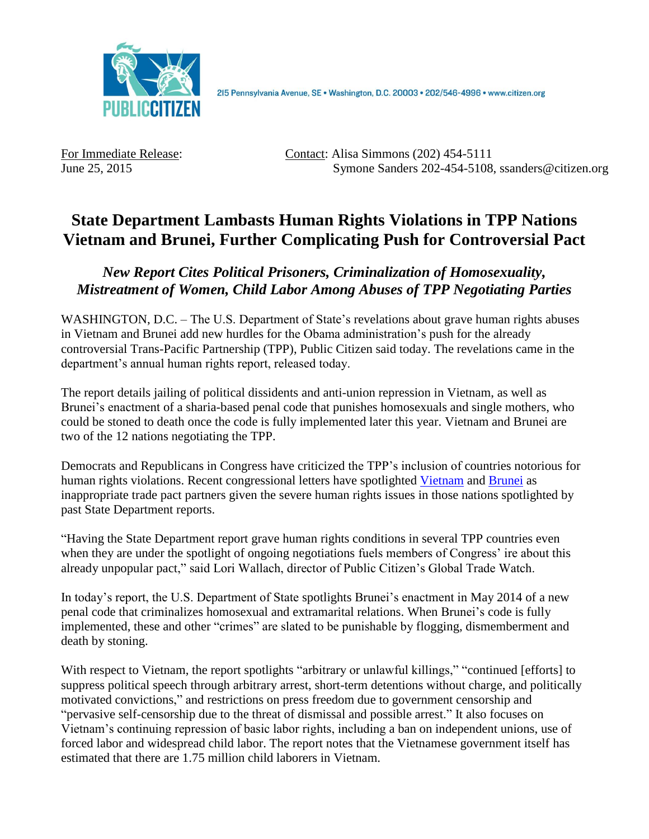

215 Pennsylvania Avenue, SE · Washington, D.C. 20003 · 202/546-4996 · www.citizen.org

For Immediate Release: Contact: Alisa Simmons (202) 454-5111 June 25, 2015 Symone Sanders 202-454-5108, ssanders@citizen.org

## **State Department Lambasts Human Rights Violations in TPP Nations Vietnam and Brunei, Further Complicating Push for Controversial Pact**

*New Report Cites Political Prisoners, Criminalization of Homosexuality, Mistreatment of Women, Child Labor Among Abuses of TPP Negotiating Parties*

WASHINGTON, D.C. – The U.S. Department of State's revelations about grave human rights abuses in Vietnam and Brunei add new hurdles for the Obama administration's push for the already controversial Trans-Pacific Partnership (TPP), Public Citizen said today. The revelations came in the department's annual human rights report, released today.

The report details jailing of political dissidents and anti-union repression in Vietnam, as well as Brunei's enactment of a sharia-based penal code that punishes homosexuals and single mothers, who could be stoned to death once the code is fully implemented later this year. Vietnam and Brunei are two of the 12 nations negotiating the TPP.

Democrats and Republicans in Congress have criticized the TPP's inclusion of countries notorious for human rights violations. Recent congressional letters have spotlighted [Vietnam](http://rothfus.house.gov/media-center/press-releases/vietnam-must-end-human-rights-abuses-entering-trans-pacific-partnership) and [Brunei](http://pocan.house.gov/media-center/press-releases/119-members-of-congress-call-on-united-states-to-end-trade-negotiations) as inappropriate trade pact partners given the severe human rights issues in those nations spotlighted by past State Department reports.

"Having the State Department report grave human rights conditions in several TPP countries even when they are under the spotlight of ongoing negotiations fuels members of Congress' ire about this already unpopular pact," said Lori Wallach, director of Public Citizen's Global Trade Watch.

In today's report, the U.S. Department of State spotlights Brunei's enactment in May 2014 of a new penal code that criminalizes homosexual and extramarital relations. When Brunei's code is fully implemented, these and other "crimes" are slated to be punishable by flogging, dismemberment and death by stoning.

With respect to Vietnam, the report spotlights "arbitrary or unlawful killings," "continued [efforts] to suppress political speech through arbitrary arrest, short-term detentions without charge, and politically motivated convictions," and restrictions on press freedom due to government censorship and "pervasive self-censorship due to the threat of dismissal and possible arrest." It also focuses on Vietnam's continuing repression of basic labor rights, including a ban on independent unions, use of forced labor and widespread child labor. The report notes that the Vietnamese government itself has estimated that there are 1.75 million child laborers in Vietnam.